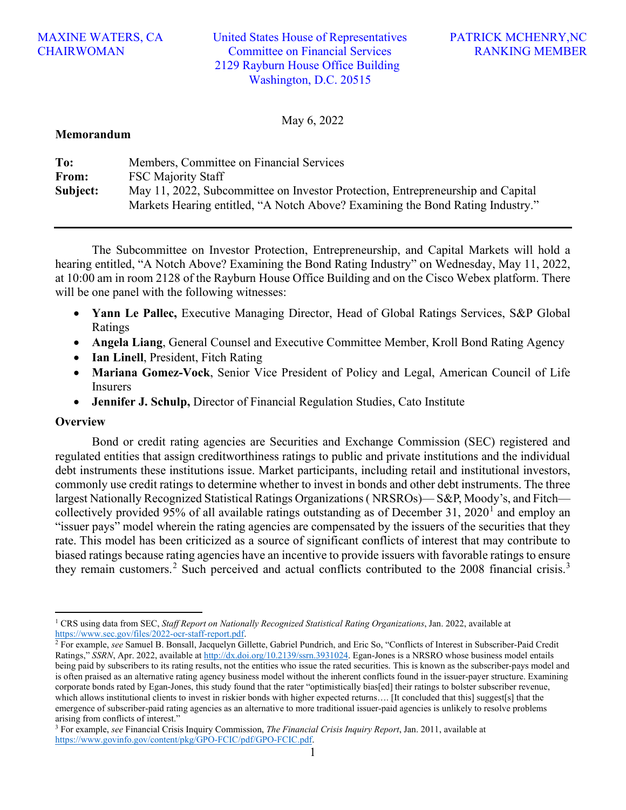### MAXINE WATERS, CA **CHAIRWOMAN**

United States House of Representatives Committee on Financial Services 2129 Rayburn House Office Building Washington, D.C. 20515

May 6, 2022

#### **Memorandum**

| To:      | Members, Committee on Financial Services                                        |
|----------|---------------------------------------------------------------------------------|
| From:    | <b>FSC Majority Staff</b>                                                       |
| Subject: | May 11, 2022, Subcommittee on Investor Protection, Entrepreneurship and Capital |
|          | Markets Hearing entitled, "A Notch Above? Examining the Bond Rating Industry."  |

The Subcommittee on Investor Protection, Entrepreneurship, and Capital Markets will hold a hearing entitled, "A Notch Above? Examining the Bond Rating Industry" on Wednesday, May 11, 2022, at 10:00 am in room 2128 of the Rayburn House Office Building and on the Cisco Webex platform. There will be one panel with the following witnesses:

- **Yann Le Pallec,** Executive Managing Director, Head of Global Ratings Services, S&P Global Ratings
- **Angela Liang**, General Counsel and Executive Committee Member, Kroll Bond Rating Agency
- **Ian Linell**, President, Fitch Rating
- **Mariana Gomez-Vock**, Senior Vice President of Policy and Legal, American Council of Life Insurers
- **Jennifer J. Schulp,** Director of Financial Regulation Studies, Cato Institute

#### **Overview**

Bond or credit rating agencies are Securities and Exchange Commission (SEC) registered and regulated entities that assign creditworthiness ratings to public and private institutions and the individual debt instruments these institutions issue. Market participants, including retail and institutional investors, commonly use credit ratings to determine whether to invest in bonds and other debt instruments. The three largest Nationally Recognized Statistical Ratings Organizations ( NRSROs)— S&P, Moody's, and Fitch— collectively provided 95% of all available ratings outstanding as of December 3[1](#page-0-0), 2020<sup>1</sup> and employ an "issuer pays" model wherein the rating agencies are compensated by the issuers of the securities that they rate. This model has been criticized as a source of significant conflicts of interest that may contribute to biased ratings because rating agencies have an incentive to provide issuers with favorable ratings to ensure they remain customers.<sup>[2](#page-0-1)</sup> Such perceived and actual conflicts contributed to the 2008 financial crisis.<sup>[3](#page-0-2)</sup>

<span id="page-0-0"></span><sup>1</sup> CRS using data from SEC, *Staff Report on Nationally Recognized Statistical Rating Organizations*, Jan. 2022, available at [https://www.sec.gov/files/2022-ocr-staff-report.pdf.](https://www.sec.gov/files/2022-ocr-staff-report.pdf) 2 For example, *see* Samuel B. Bonsall, Jacquelyn Gillette, Gabriel Pundrich, and Eric So, "Conflicts of Interest in Subscriber-Paid Credit

<span id="page-0-1"></span>Ratings," *SSRN*, Apr. 2022, available a[t http://dx.doi.org/10.2139/ssrn.3931024.](http://dx.doi.org/10.2139/ssrn.3931024) Egan-Jones is a NRSRO whose business model entails being paid by subscribers to its rating results, not the entities who issue the rated securities. This is known as the subscriber-pays model and is often praised as an alternative rating agency business model without the inherent conflicts found in the issuer-payer structure. Examining corporate bonds rated by Egan-Jones, this study found that the rater "optimistically bias[ed] their ratings to bolster subscriber revenue, which allows institutional clients to invest in riskier bonds with higher expected returns…. [It concluded that this] suggest[s] that the emergence of subscriber-paid rating agencies as an alternative to more traditional issuer-paid agencies is unlikely to resolve problems arising from conflicts of interest." 3 For example, *see* Financial Crisis Inquiry Commission, *The Financial Crisis Inquiry Report*, Jan. 2011, available at

<span id="page-0-2"></span>[https://www.govinfo.gov/content/pkg/GPO-FCIC/pdf/GPO-FCIC.pdf.](https://www.govinfo.gov/content/pkg/GPO-FCIC/pdf/GPO-FCIC.pdf)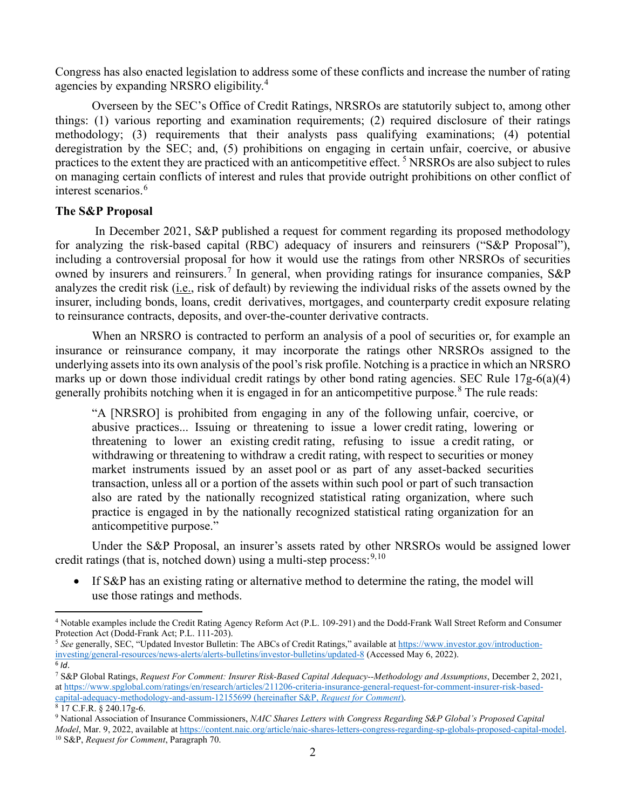Congress has also enacted legislation to address some of these conflicts and increase the number of rating agencies by expanding NRSRO eligibility.[4](#page-1-0)

Overseen by the SEC's Office of Credit Ratings, NRSROs are statutorily subject to, among other things: (1) various reporting and examination requirements; (2) required disclosure of their ratings methodology; (3) requirements that their analysts pass qualifying examinations; (4) potential deregistration by the SEC; and, (5) prohibitions on engaging in certain unfair, coercive, or abusive practices to the extent they are practiced with an anticompetitive effect. [5](#page-1-1) NRSROs are also subject to rules on managing certain conflicts of interest and rules that provide outright prohibitions on other conflict of interest scenarios.<sup>[6](#page-1-2)</sup>

## **The S&P Proposal**

In December 2021, S&P published a request for comment regarding its proposed methodology for analyzing the risk-based capital (RBC) adequacy of insurers and reinsurers ("S&P Proposal"), including a controversial proposal for how it would use the ratings from other NRSROs of securities owned by insurers and reinsurers.<sup>[7](#page-1-3)</sup> In general, when providing ratings for insurance companies, S&P analyzes the credit risk (i.e., risk of default) by reviewing the individual risks of the assets owned by the insurer, including bonds, loans, credit derivatives, mortgages, and counterparty credit exposure relating to reinsurance contracts, deposits, and over-the-counter derivative contracts.

When an NRSRO is contracted to perform an analysis of a pool of securities or, for example an insurance or reinsurance company, it may incorporate the ratings other NRSROs assigned to the underlying assets into its own analysis of the pool's risk profile. Notching is a practice in which an NRSRO marks up or down those individual credit ratings by other bond rating agencies. SEC Rule 17g-6(a)(4) generally prohibits notching when it is engaged in for an anticompetitive purpose.<sup>[8](#page-1-4)</sup> The rule reads:

"A [NRSRO] is prohibited from engaging in any of the following unfair, coercive, or abusive practices... Issuing or threatening to issue a lower credit rating, lowering or threatening to lower an existing credit rating, refusing to issue a credit rating, or withdrawing or threatening to withdraw a credit rating, with respect to securities or money market instruments issued by an asset pool or as part of any asset-backed securities transaction, unless all or a portion of the assets within such pool or part of such transaction also are rated by the nationally recognized statistical rating organization, where such practice is engaged in by the nationally recognized statistical rating organization for an anticompetitive purpose."

Under the S&P Proposal, an insurer's assets rated by other NRSROs would be assigned lower credit ratings (that is, notched down) using a multi-step process:<sup>[9,](#page-1-5)[10](#page-1-6)</sup>

If S&P has an existing rating or alternative method to determine the rating, the model will use those ratings and methods.

<span id="page-1-0"></span><sup>4</sup> Notable examples include the Credit Rating Agency Reform Act (P.L. 109-291) and the Dodd-Frank Wall Street Reform and Consumer Protection Act (Dodd-Frank Act; P.L. 111-203).<br><sup>5</sup> *See* generally, SEC, "Updated Investor Bulletin: The ABCs of Credit Ratings," available a[t https://www.investor.gov/introduction-](https://www.investor.gov/introduction-investing/general-resources/news-alerts/alerts-bulletins/investor-bulletins/updated-8)

<span id="page-1-1"></span>[investing/general-resources/news-alerts/alerts-bulletins/investor-bulletins/updated-8](https://www.investor.gov/introduction-investing/general-resources/news-alerts/alerts-bulletins/investor-bulletins/updated-8) (Accessed May 6, 2022).  $6$  *Id.* 

<span id="page-1-3"></span><span id="page-1-2"></span><sup>7</sup> S&P Global Ratings, *Request For Comment: Insurer Risk-Based Capital Adequacy--Methodology and Assumptions*, December 2, 2021, a[t https://www.spglobal.com/ratings/en/research/articles/211206-criteria-insurance-general-request-for-comment-insurer-risk-based](https://www.spglobal.com/ratings/en/research/articles/211206-criteria-insurance-general-request-for-comment-insurer-risk-based-capital-adequacy-methodology-and-assum-12155699)capital-adequacy-methodology-and-assum-12155699 (hereinafter S&P, *Request for Comment*). 8 17 C.F.R. § 240.17g-6.

<span id="page-1-4"></span>

<span id="page-1-6"></span><span id="page-1-5"></span><sup>9</sup> National Association of Insurance Commissioners, *NAIC Shares Letters with Congress Regarding S&P Global's Proposed Capital Model*, Mar. 9, 2022, available at [https://content.naic.org/article/naic-shares-letters-congress-regarding-sp-globals-proposed-capital-model.](https://content.naic.org/article/naic-shares-letters-congress-regarding-sp-globals-proposed-capital-model) 10 S&P, *Request for Comment*, Paragraph 70.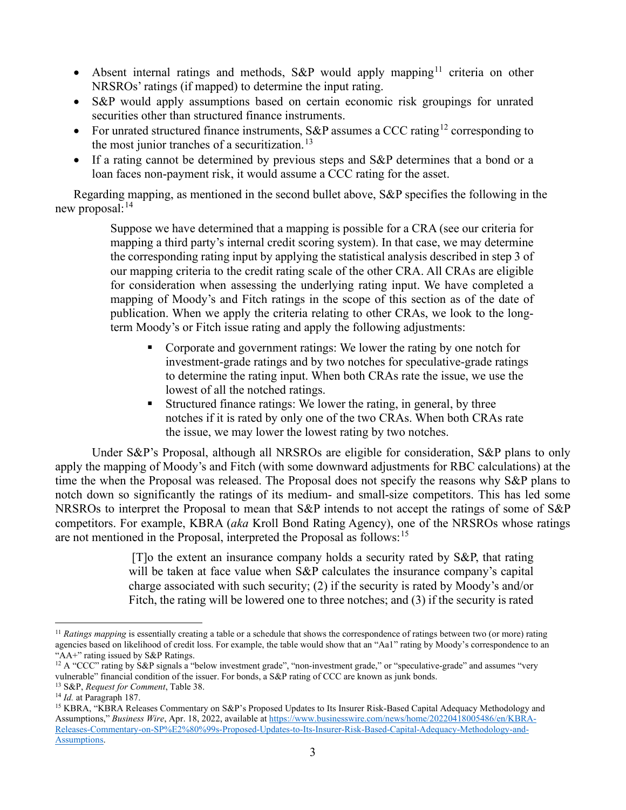- Absent internal ratings and methods, S&P would apply mapping<sup>[11](#page-2-0)</sup> criteria on other NRSROs' ratings (if mapped) to determine the input rating.
- S&P would apply assumptions based on certain economic risk groupings for unrated securities other than structured finance instruments.
- For unrated structured finance instruments,  $S\&P$  assumes a CCC rating<sup>[12](#page-2-1)</sup> corresponding to the most junior tranches of a securitization.<sup>[13](#page-2-2)</sup>
- If a rating cannot be determined by previous steps and S&P determines that a bond or a loan faces non-payment risk, it would assume a CCC rating for the asset.

Regarding mapping, as mentioned in the second bullet above, S&P specifies the following in the new proposal: $^{14}$  $^{14}$  $^{14}$ 

> Suppose we have determined that a mapping is possible for a CRA (see our criteria for mapping a third party's internal credit scoring system). In that case, we may determine the corresponding rating input by applying the statistical analysis described in step 3 of our mapping criteria to the credit rating scale of the other CRA. All CRAs are eligible for consideration when assessing the underlying rating input. We have completed a mapping of Moody's and Fitch ratings in the scope of this section as of the date of publication. When we apply the criteria relating to other CRAs, we look to the longterm Moody's or Fitch issue rating and apply the following adjustments:

- Corporate and government ratings: We lower the rating by one notch for investment-grade ratings and by two notches for speculative-grade ratings to determine the rating input. When both CRAs rate the issue, we use the lowest of all the notched ratings.
- Structured finance ratings: We lower the rating, in general, by three notches if it is rated by only one of the two CRAs. When both CRAs rate the issue, we may lower the lowest rating by two notches.

Under S&P's Proposal, although all NRSROs are eligible for consideration, S&P plans to only apply the mapping of Moody's and Fitch (with some downward adjustments for RBC calculations) at the time the when the Proposal was released. The Proposal does not specify the reasons why S&P plans to notch down so significantly the ratings of its medium- and small-size competitors. This has led some NRSROs to interpret the Proposal to mean that S&P intends to not accept the ratings of some of S&P competitors. For example, KBRA (*aka* Kroll Bond Rating Agency), one of the NRSROs whose ratings are not mentioned in the Proposal, interpreted the Proposal as follows:<sup>[15](#page-2-4)</sup>

> [T]o the extent an insurance company holds a security rated by S&P, that rating will be taken at face value when S&P calculates the insurance company's capital charge associated with such security; (2) if the security is rated by Moody's and/or Fitch, the rating will be lowered one to three notches; and (3) if the security is rated

<span id="page-2-0"></span><sup>&</sup>lt;sup>11</sup> *Ratings mapping* is essentially creating a table or a schedule that shows the correspondence of ratings between two (or more) rating agencies based on likelihood of credit loss. For example, the table would show that an "Aa1" rating by Moody's correspondence to an "AA+" rating issued by S&P Ratings.

<span id="page-2-1"></span><sup>&</sup>lt;sup>12</sup> A "CCC" rating by S&P signals a "below investment grade", "non-investment grade," or "speculative-grade" and assumes "very vulnerable" financial condition of the issuer. For bonds, a S&P rating of CCC are known as junk bonds.

<span id="page-2-2"></span><sup>13</sup> S&P, *Request for Comment*, Table 38. 14 *Id.* at Paragraph 187.

<span id="page-2-4"></span><span id="page-2-3"></span><sup>15</sup> KBRA, "KBRA Releases Commentary on S&P's Proposed Updates to Its Insurer Risk-Based Capital Adequacy Methodology and Assumptions," *Business Wire*, Apr. 18, 2022, available a[t https://www.businesswire.com/news/home/20220418005486/en/KBRA-](https://www.businesswire.com/news/home/20220418005486/en/KBRA-Releases-Commentary-on-SP%E2%80%99s-Proposed-Updates-to-Its-Insurer-Risk-Based-Capital-Adequacy-Methodology-and-Assumptions)[Releases-Commentary-on-SP%E2%80%99s-Proposed-Updates-to-Its-Insurer-Risk-Based-Capital-Adequacy-Methodology-and-](https://www.businesswire.com/news/home/20220418005486/en/KBRA-Releases-Commentary-on-SP%E2%80%99s-Proposed-Updates-to-Its-Insurer-Risk-Based-Capital-Adequacy-Methodology-and-Assumptions)[Assumptions.](https://www.businesswire.com/news/home/20220418005486/en/KBRA-Releases-Commentary-on-SP%E2%80%99s-Proposed-Updates-to-Its-Insurer-Risk-Based-Capital-Adequacy-Methodology-and-Assumptions)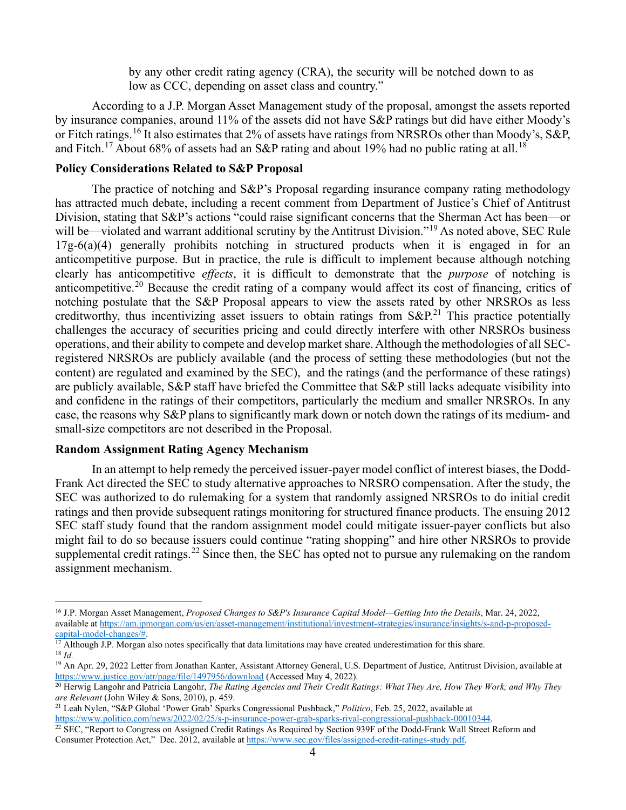by any other credit rating agency (CRA), the security will be notched down to as low as CCC, depending on asset class and country."

According to a J.P. Morgan Asset Management study of the proposal, amongst the assets reported by insurance companies, around 11% of the assets did not have S&P ratings but did have either Moody's or Fitch ratings.<sup>[16](#page-3-0)</sup> It also estimates that 2% of assets have ratings from NRSROs other than Moody's, S&P, and Fitch.<sup>[17](#page-3-1)</sup> About 68% of assets had an S&P rating and about 19% had no public rating at all.<sup>[18](#page-3-2)</sup>

### **Policy Considerations Related to S&P Proposal**

The practice of notching and S&P's Proposal regarding insurance company rating methodology has attracted much debate, including a recent comment from Department of Justice's Chief of Antitrust Division, stating that S&P's actions "could raise significant concerns that the Sherman Act has been—or will be—violated and warrant additional scrutiny by the Antitrust Division."<sup>[19](#page-3-3)</sup> As noted above, SEC Rule  $17g-6(a)(4)$  generally prohibits notching in structured products when it is engaged in for an anticompetitive purpose. But in practice, the rule is difficult to implement because although notching clearly has anticompetitive *effects*, it is difficult to demonstrate that the *purpose* of notching is anticompetitive.[20](#page-3-4) Because the credit rating of a company would affect its cost of financing, critics of notching postulate that the S&P Proposal appears to view the assets rated by other NRSROs as less creditworthy, thus incentivizing asset issuers to obtain ratings from  $S\&P^{21}$  $S\&P^{21}$  $S\&P^{21}$ . This practice potentially challenges the accuracy of securities pricing and could directly interfere with other NRSROs business operations, and their ability to compete and develop market share. Although the methodologies of all SECregistered NRSROs are publicly available (and the process of setting these methodologies (but not the content) are regulated and examined by the SEC), and the ratings (and the performance of these ratings) are publicly available, S&P staff have briefed the Committee that S&P still lacks adequate visibility into and confidene in the ratings of their competitors, particularly the medium and smaller NRSROs. In any case, the reasons why S&P plans to significantly mark down or notch down the ratings of its medium- and small-size competitors are not described in the Proposal.

#### **Random Assignment Rating Agency Mechanism**

In an attempt to help remedy the perceived issuer-payer model conflict of interest biases, the Dodd-Frank Act directed the SEC to study alternative approaches to NRSRO compensation. After the study, the SEC was authorized to do rulemaking for a system that randomly assigned NRSROs to do initial credit ratings and then provide subsequent ratings monitoring for structured finance products. The ensuing 2012 SEC staff study found that the random assignment model could mitigate issuer-payer conflicts but also might fail to do so because issuers could continue "rating shopping" and hire other NRSROs to provide supplemental credit ratings.<sup>[22](#page-3-6)</sup> Since then, the SEC has opted not to pursue any rulemaking on the random assignment mechanism.

<span id="page-3-0"></span><sup>&</sup>lt;sup>16</sup> J.P. Morgan Asset Management, *Proposed Changes to S&P's Insurance Capital Model—Getting Into the Details*, Mar. 24, 2022, available a[t https://am.jpmorgan.com/us/en/asset-management/institutional/investment-strategies/insurance/insights/s-and-p-proposed](https://am.jpmorgan.com/us/en/asset-management/institutional/investment-strategies/insurance/insights/s-and-p-proposed-capital-model-changes/)[capital-model-changes/#.](https://am.jpmorgan.com/us/en/asset-management/institutional/investment-strategies/insurance/insights/s-and-p-proposed-capital-model-changes/)

<span id="page-3-2"></span><span id="page-3-1"></span> $17$  Although J.P. Morgan also notes specifically that data limitations may have created underestimation for this share. <sup>18</sup> *Id.*

<span id="page-3-3"></span><sup>&</sup>lt;sup>19</sup> An Apr. 29, 2022 Letter from Jonathan Kanter, Assistant Attorney General, U.S. Department of Justice, Antitrust Division, available at https://www.justice.gov/atr/page/file/1497956/download (Accessed May 4, 2022).

<span id="page-3-4"></span><sup>&</sup>lt;sup>20</sup> Herwig Langohr and Patricia Langohr, *The Rating Agencies and Their Credit Ratings: What They Are, How They Work, and Why They are Relevant (John Wiley & Sons, 2010), p. 459.* 

<span id="page-3-5"></span><sup>&</sup>lt;sup>21</sup> Leah Nylen, "S&P Global 'Power Grab<sup>3</sup> Sparks Congressional Pushback," *Politico*, Feb. 25, 2022, available at [https://www.politico.com/news/2022/02/25/s-p-insurance-power-grab-sparks-rival-congressional-pushback-00010344.](https://www.politico.com/news/2022/02/25/s-p-insurance-power-grab-sparks-rival-congressional-pushback-00010344)

<span id="page-3-6"></span> $22$  SEC, "Report to Congress on Assigned Credit Ratings As Required by Section 939F of the Dodd-Frank Wall Street Reform and Consumer Protection Act," Dec. 2012, available a[t https://www.sec.gov/files/assigned-credit-ratings-study.pdf.](https://www.sec.gov/files/assigned-credit-ratings-study.pdf)